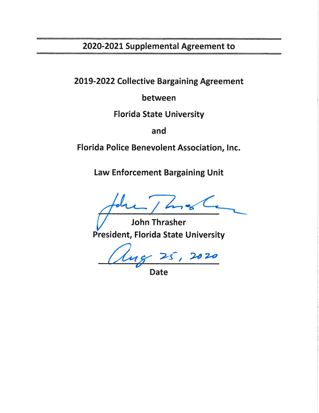# 2020-2021 Supplemental Agreement to

2019-2022 Collective Bargaining Agreement

between

**Florida State University** 

and

Florida Police Benevolent Association, Inc.

Law Enforcement Bargaining Unit

**John Thrasher President, Florida State University** 

 $\frac{\sqrt{25}}{200}$  Date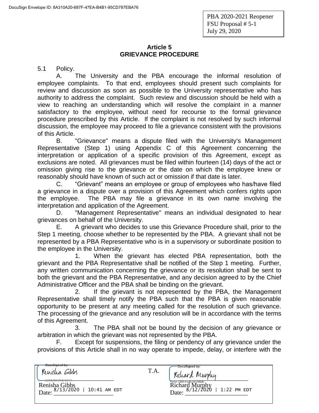## **Article 5 GRIEVANCE PROCEDURE**

5.1 Policy.

A. The University and the PBA encourage the informal resolution of employee complaints. To that end, employees should present such complaints for review and discussion as soon as possible to the University representative who has authority to address the complaint. Such review and discussion should be held with a view to reaching an understanding which will resolve the complaint in a manner satisfactory to the employee, without need for recourse to the formal grievance procedure prescribed by this Article. If the complaint is not resolved by such informal discussion, the employee may proceed to file a grievance consistent with the provisions of this Article.

B. "Grievance" means a dispute filed with the University's Management Representative (Step 1) using Appendix C of this Agreement concerning the interpretation or application of a specific provision of this Agreement, except as exclusions are noted. All grievances must be filed within fourteen (14) days of the act or omission giving rise to the grievance or the date on which the employee knew or reasonably should have known of such act or omission if that date is later.

C. "Grievant" means an employee or group of employees who has/have filed a grievance in a dispute over a provision of this Agreement which confers rights upon the employee. The PBA may file a grievance in its own name involving the interpretation and application of the Agreement.

D. "Management Representative" means an individual designated to hear grievances on behalf of the University.

E. A grievant who decides to use this Grievance Procedure shall, prior to the Step 1 meeting, choose whether to be represented by the PBA. A grievant shall not be represented by a PBA Representative who is in a supervisory or subordinate position to the employee in the University.

1. When the grievant has elected PBA representation, both the grievant and the PBA Representative shall be notified of the Step 1 meeting. Further, any written communication concerning the grievance or its resolution shall be sent to both the grievant and the PBA Representative, and any decision agreed to by the Chief Administrative Officer and the PBA shall be binding on the grievant.

2. If the grievant is not represented by the PBA, the Management Representative shall timely notify the PBA such that the PBA is given reasonable opportunity to be present at any meeting called for the resolution of such grievance. The processing of the grievance and any resolution will be in accordance with the terms of this Agreement.

3. The PBA shall not be bound by the decision of any grievance or arbitration in which the grievant was not represented by the PBA.

F. Except for suspensions, the filing or pendency of any grievance under the provisions of this Article shall in no way operate to impede, delay, or interfere with the

| DocuSigned by:<br>Renisha Gibbs<br>OCRAGECE0744A1     | T.A. | DocuSianed by:<br>Kichard Murphy                     |
|-------------------------------------------------------|------|------------------------------------------------------|
| Renisha Gibbs<br>8/13/2020<br>  10:41 AM EDT<br>Date: |      | 7A9FF54E5979406<br>Richard<br>$1:22$ PM EDT<br>Date: |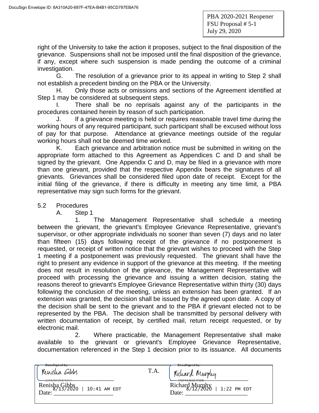right of the University to take the action it proposes, subject to the final disposition of the grievance. Suspensions shall not be imposed until the final disposition of the grievance, if any, except where such suspension is made pending the outcome of a criminal investigation.

G. The resolution of a grievance prior to its appeal in writing to Step 2 shall not establish a precedent binding on the PBA or the University.

H. Only those acts or omissions and sections of the Agreement identified at Step 1 may be considered at subsequent steps.

I. There shall be no reprisals against any of the participants in the procedures contained herein by reason of such participation.

J. If a grievance meeting is held or requires reasonable travel time during the working hours of any required participant, such participant shall be excused without loss of pay for that purpose. Attendance at grievance meetings outside of the regular working hours shall not be deemed time worked.

K. Each grievance and arbitration notice must be submitted in writing on the appropriate form attached to this Agreement as Appendices C and D and shall be signed by the grievant. One Appendix C and D, may be filed in a grievance with more than one grievant, provided that the respective Appendix bears the signatures of all grievants. Grievances shall be considered filed upon date of receipt. Except for the initial filing of the grievance, if there is difficulty in meeting any time limit, a PBA representative may sign such forms for the grievant.

#### 5.2 Procedures

A. Step 1

1. The Management Representative shall schedule a meeting between the grievant, the grievant's Employee Grievance Representative, grievant's supervisor, or other appropriate individuals no sooner than seven (7) days and no later than fifteen (15) days following receipt of the grievance if no postponement is requested, or receipt of written notice that the grievant wishes to proceed with the Step 1 meeting if a postponement was previously requested. The grievant shall have the right to present any evidence in support of the grievance at this meeting. If the meeting does not result in resolution of the grievance, the Management Representative will proceed with processing the grievance and issuing a written decision, stating the reasons thereof to grievant's Employee Grievance Representative within thirty (30) days following the conclusion of the meeting, unless an extension has been granted. If an extension was granted, the decision shall be issued by the agreed upon date. A copy of the decision shall be sent to the grievant and to the PBA if grievant elected not to be represented by the PBA. The decision shall be transmitted by personal delivery with written documentation of receipt, by certified mail, return receipt requested, or by electronic mail.

2. Where practicable, the Management Representative shall make available to the grievant or grievant's Employee Grievance Representative, documentation referenced in the Step 1 decision prior to its issuance. All documents

| -DocuSigned by:                                 |      | <del>DocuSigned by:-</del>                                                  |
|-------------------------------------------------|------|-----------------------------------------------------------------------------|
| Kenisha<br>GIMMS                                | T.A. | w.<br>Murphy<br>Kichard                                                     |
| OCRAGECE0744A1<br>Renisha Gibbs<br>10:41 AM EDT |      | $-709F54F5979406$<br><del>----------</del><br>Richard Murphy<br>1:22 PM EDT |
| Date:                                           |      | Date:                                                                       |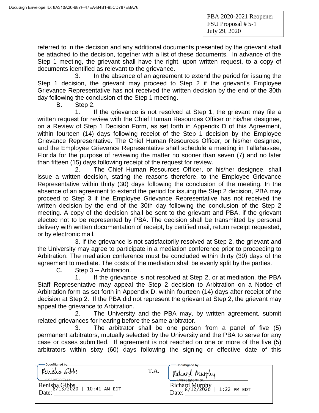referred to in the decision and any additional documents presented by the grievant shall be attached to the decision, together with a list of these documents. In advance of the Step 1 meeting, the grievant shall have the right, upon written request, to a copy of documents identified as relevant to the grievance.

3. In the absence of an agreement to extend the period for issuing the Step 1 decision, the grievant may proceed to Step 2 if the grievant's Employee Grievance Representative has not received the written decision by the end of the 30th day following the conclusion of the Step 1 meeting.

B. Step 2.

1. If the grievance is not resolved at Step 1, the grievant may file a written request for review with the Chief Human Resources Officer or his/her designee, on a Review of Step 1 Decision Form, as set forth in Appendix D of this Agreement, within fourteen (14) days following receipt of the Step 1 decision by the Employee Grievance Representative. The Chief Human Resources Officer, or his/her designee, and the Employee Grievance Representative shall schedule a meeting in Tallahassee, Florida for the purpose of reviewing the matter no sooner than seven (7) and no later than fifteen (15) days following receipt of the request for review.

2. The Chief Human Resources Officer, or his/her designee, shall issue a written decision, stating the reasons therefore, to the Employee Grievance Representative within thirty (30) days following the conclusion of the meeting. In the absence of an agreement to extend the period for issuing the Step 2 decision, PBA may proceed to Step 3 if the Employee Grievance Representative has not received the written decision by the end of the 30th day following the conclusion of the Step 2 meeting. A copy of the decision shall be sent to the grievant and PBA, if the grievant elected not to be represented by PBA. The decision shall be transmitted by personal delivery with written documentation of receipt, by certified mail, return receipt requested, or by electronic mail.

3. If the grievance is not satisfactorily resolved at Step 2, the grievant and the University may agree to participate in a mediation conference prior to proceeding to Arbitration. The mediation conference must be concluded within thirty (30) days of the agreement to mediate. The costs of the mediation shall be evenly split by the parties.

C. Step 3 -- Arbitration.

1. If the grievance is not resolved at Step 2, or at mediation, the PBA Staff Representative may appeal the Step 2 decision to Arbitration on a Notice of Arbitration form as set forth in Appendix D, within fourteen (14) days after receipt of the decision at Step 2. If the PBA did not represent the grievant at Step 2, the grievant may appeal the grievance to Arbitration.

2. The University and the PBA may, by written agreement, submit related grievances for hearing before the same arbitrator.

3. The arbitrator shall be one person from a panel of five (5) permanent arbitrators, mutually selected by the University and the PBA to serve for any case or cases submitted. If agreement is not reached on one or more of the five (5) arbitrators within sixty (60) days following the signing or effective date of this

| DocuSianed by:                                                          | <del>DocuSigned by:</del>                                                                            |
|-------------------------------------------------------------------------|------------------------------------------------------------------------------------------------------|
| Renisha Gibbs                                                           | T.A.<br>Kichard Murphy                                                                               |
| -92F8A6F2F0744A1<br>Renisha Gibbs <sub>0</sub><br>10:41 AM EDT<br>Date: | $-7095545979406$<br>Richard Murphy<br>$\frac{8}{12}/\frac{2020}{20}$<br>$\vert$ 1:22 PM EDT<br>Date: |
|                                                                         |                                                                                                      |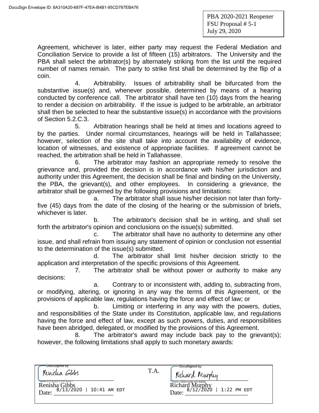Agreement, whichever is later, either party may request the Federal Mediation and Conciliation Service to provide a list of fifteen (15) arbitrators. The University and the PBA shall select the arbitrator(s) by alternately striking from the list until the required number of names remain. The party to strike first shall be determined by the flip of a coin.

4. Arbitrability. Issues of arbitrability shall be bifurcated from the substantive issue(s) and, whenever possible, determined by means of a hearing conducted by conference call. The arbitrator shall have ten (10) days from the hearing to render a decision on arbitrability. If the issue is judged to be arbitrable, an arbitrator shall then be selected to hear the substantive issue(s) in accordance with the provisions of Section 5.2.C.3.

5. Arbitration hearings shall be held at times and locations agreed to by the parties. Under normal circumstances, hearings will be held in Tallahassee; however, selection of the site shall take into account the availability of evidence, location of witnesses, and existence of appropriate facilities. If agreement cannot be reached, the arbitration shall be held in Tallahassee.

6. The arbitrator may fashion an appropriate remedy to resolve the grievance and, provided the decision is in accordance with his/her jurisdiction and authority under this Agreement, the decision shall be final and binding on the University, the PBA, the grievant(s), and other employees. In considering a grievance, the arbitrator shall be governed by the following provisions and limitations:

a. The arbitrator shall issue his/her decision not later than fortyfive (45) days from the date of the closing of the hearing or the submission of briefs, whichever is later.

b. The arbitrator's decision shall be in writing, and shall set forth the arbitrator's opinion and conclusions on the issue(s) submitted.

c. The arbitrator shall have no authority to determine any other issue, and shall refrain from issuing any statement of opinion or conclusion not essential to the determination of the issue(s) submitted.

d. The arbitrator shall limit his/her decision strictly to the application and interpretation of the specific provisions of this Agreement.

7. The arbitrator shall be without power or authority to make any decisions:

a. Contrary to or inconsistent with, adding to, subtracting from, or modifying, altering, or ignoring in any way the terms of this Agreement, or the provisions of applicable law, regulations having the force and effect of law; or

b. Limiting or interfering in any way with the powers, duties, and responsibilities of the State under its Constitution, applicable law, and regulations having the force and effect of law, except as such powers, duties, and responsibilities have been abridged, delegated, or modified by the provisions of this Agreement.

8. The arbitrator's award may include back pay to the grievant(s); however, the following limitations shall apply to such monetary awards:

| DocuSigned by:<br>Renisha Gibbs                                                             | T.A. | DocuSigned by:<br>w.<br>Kichard Murphy                                            |
|---------------------------------------------------------------------------------------------|------|-----------------------------------------------------------------------------------|
| -92F8A6F2F0744A1 <del></del><br>Renisha Gibbs<br>8/13/2020<br>$\vert$ 10:41 AM EDT<br>Date: |      | 7A9FF54E5979406<br>Murphy<br>Richard<br>8/12/2020<br>$\vert$ 1:22 PM EDT<br>Date: |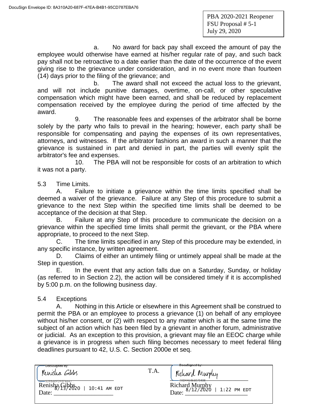a. No award for back pay shall exceed the amount of pay the employee would otherwise have earned at his/her regular rate of pay, and such back pay shall not be retroactive to a date earlier than the date of the occurrence of the event giving rise to the grievance under consideration, and in no event more than fourteen (14) days prior to the filing of the grievance; and

b. The award shall not exceed the actual loss to the grievant, and will not include punitive damages, overtime, on-call, or other speculative compensation which might have been earned, and shall be reduced by replacement compensation received by the employee during the period of time affected by the award.

9. The reasonable fees and expenses of the arbitrator shall be borne solely by the party who fails to prevail in the hearing; however, each party shall be responsible for compensating and paying the expenses of its own representatives, attorneys, and witnesses. If the arbitrator fashions an award in such a manner that the grievance is sustained in part and denied in part, the parties will evenly split the arbitrator's fee and expenses.

10. The PBA will not be responsible for costs of an arbitration to which it was not a party.

5.3 Time Limits.

A. Failure to initiate a grievance within the time limits specified shall be deemed a waiver of the grievance. Failure at any Step of this procedure to submit a grievance to the next Step within the specified time limits shall be deemed to be acceptance of the decision at that Step.

B. Failure at any Step of this procedure to communicate the decision on a grievance within the specified time limits shall permit the grievant, or the PBA where appropriate, to proceed to the next Step.

C. The time limits specified in any Step of this procedure may be extended, in any specific instance, by written agreement.

D. Claims of either an untimely filing or untimely appeal shall be made at the Step in question.

E. In the event that any action falls due on a Saturday, Sunday, or holiday (as referred to in Section 2.2), the action will be considered timely if it is accomplished by 5:00 p.m. on the following business day.

### 5.4 Exceptions

A. Nothing in this Article or elsewhere in this Agreement shall be construed to permit the PBA or an employee to process a grievance (1) on behalf of any employee without his/her consent, or (2) with respect to any matter which is at the same time the subject of an action which has been filed by a grievant in another forum, administrative or judicial. As an exception to this provision, a grievant may file an EEOC charge while a grievance is in progress when such filing becomes necessary to meet federal filing deadlines pursuant to 42, U.S. C. Section 2000e et seq.

| DocuSigned by:<br>Renisha Gibbs<br>$= 92F8A6F2F0744A1$<br>Renisha Gibbs2<br>10:41 AM EDT<br>Date: | T.A. | <del>DocuSigned by:</del><br>Kichard Murphy<br>749EE54E5979406<br><del>.34E39/-8400</del><br>Richard Murphy<br>$Dist_{0.8/12/2020}$   1:22 PM EDT<br>Date: |
|---------------------------------------------------------------------------------------------------|------|------------------------------------------------------------------------------------------------------------------------------------------------------------|
|                                                                                                   |      |                                                                                                                                                            |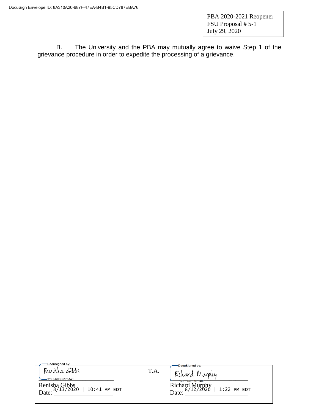B. The University and the PBA may mutually agree to waive Step 1 of the grievance procedure in order to expedite the processing of a grievance.

DocuSigned by: Renisha Gibbs

T.A.

Richard Murphy<br>Date:  $\frac{8/12/2020}{9/12/2020}$  | 1:22 PM EDT

 $\frac{1}{2258A6F2F0744A1...}$ Renisha Gibbs Richard Murphy Date:  $\frac{6}{12}$   $\frac{12}{20}$   $\frac{12}{20}$   $\frac{12}{20}$   $\frac{12}{20}$   $\frac{12}{20}$   $\frac{12}{20}$   $\frac{12}{20}$   $\frac{12}{20}$   $\frac{12}{20}$   $\frac{12}{20}$   $\frac{12}{20}$   $\frac{12}{20}$   $\frac{12}{20}$   $\frac{12}{20}$   $\frac{12}{20}$   $\frac{12}{20}$   $\frac{12}{20}$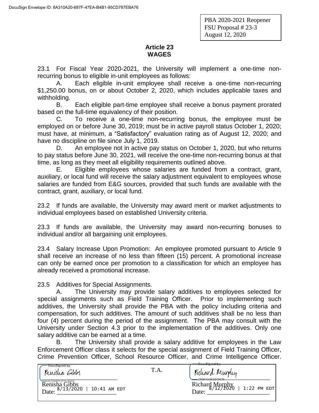PBA 2020-2021 Reopener FSU Proposal # 23-3 August 12, 2020

# **Article 23 WAGES**

23.1 For Fiscal Year 2020-2021, the University will implement a one-time nonrecurring bonus to eligible in-unit employees as follows:

A. Each eligible in-unit employee shall receive a one-time non-recurring \$1,250.00 bonus, on or about October 2, 2020, which includes applicable taxes and withholding.

B. Each eligible part-time employee shall receive a bonus payment prorated based on the full-time equivalency of their position.

C. To receive a one-time non-recurring bonus, the employee must be employed on or before June 30, 2019; must be in active payroll status October 1, 2020; must have, at minimum, a "Satisfactory" evaluation rating as of August 12, 2020; and have no discipline on file since July 1, 2019.

D. An employee not in active pay status on October 1, 2020, but who returns to pay status before June 30, 2021, will receive the one-time non-recurring bonus at that time, as long as they meet all eligibility requirements outlined above.

E. Eligible employees whose salaries are funded from a contract, grant, auxiliary, or local fund will receive the salary adjustment equivalent to employees whose salaries are funded from E&G sources, provided that such funds are available with the contract, grant, auxiliary, or local fund.

23.2 If funds are available, the University may award merit or market adjustments to individual employees based on established University criteria.

23.3 If funds are available, the University may award non-recurring bonuses to individual and/or all bargaining unit employees.

23.4 Salary Increase Upon Promotion: An employee promoted pursuant to Article 9 shall receive an increase of no less than fifteen (15) percent. A promotional increase can only be earned once per promotion to a classification for which an employee has already received a promotional increase.

23.5 Additives for Special Assignments.

A. The University may provide salary additives to employees selected for special assignments such as Field Training Officer. Prior to implementing such additives, the University shall provide the PBA with the policy including criteria and compensation, for such additives. The amount of such additives shall be no less than four (4) percent during the period of the assignment. The PBA may consult with the University under Section 4.3 prior to the implementation of the additives. Only one salary additive can be earned at a time.

B. The University shall provide a salary additive for employees in the Law Enforcement Officer class it selects for the special assignment of Field Training Officer, Crime Prevention Officer, School Resource Officer, and Crime Intelligence Officer.

| DocuSigned by:<br>Renisha Gibbs                                          | T.A. | <del>-DocuSigned-by:</del><br>Kichard Murphy                                                             |
|--------------------------------------------------------------------------|------|----------------------------------------------------------------------------------------------------------|
| =92F8A6F2F0744A1.<br>Renisha Gibbs<br>8/13/2020<br>10:41 AM EDT<br>Date: |      | ZAGEE54E5070406<br>_______<br>Richard Murphy<br>$\frac{8}{12}/\frac{2020}{20}$<br>$1:22$ PM EDT<br>Date: |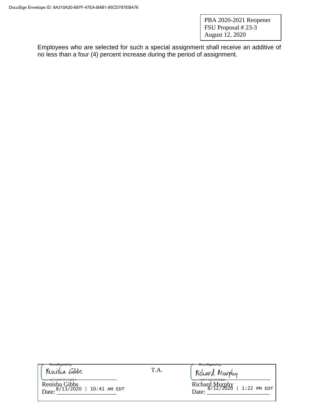PBA 2020-2021 Reopener FSU Proposal # 23-3 August 12, 2020

Employees who are selected for such a special assignment shall receive an additive of no less than a four (4) percent increase during the period of assignment.

T.A.

Renisha Gibbs T.A. [Richard Murphy

Renisha Gibbs Richard Murphy Date:  $\frac{6}{12}$   $\frac{12}{2020}$   $\frac{12}{2020}$   $\frac{12}{2020}$   $\frac{12}{122}$   $\frac{12}{122}$   $\frac{12}{122}$   $\frac{12}{122}$   $\frac{12}{122}$   $\frac{12}{122}$ 

Richard Murphy<br>8/12/2020 | 1:22 PM EDT<br>Date: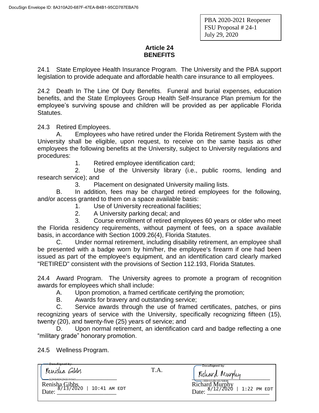### **Article 24 BENEFITS**

24.1 State Employee Health Insurance Program. The University and the PBA support legislation to provide adequate and affordable health care insurance to all employees.

24.2 Death In The Line Of Duty Benefits. Funeral and burial expenses, education benefits, and the State Employees Group Health Self-Insurance Plan premium for the employee's surviving spouse and children will be provided as per applicable Florida Statutes.

24.3 Retired Employees.

A. Employees who have retired under the Florida Retirement System with the University shall be eligible, upon request, to receive on the same basis as other employees the following benefits at the University, subject to University regulations and procedures:

1. Retired employee identification card;

2. Use of the University library (i.e., public rooms, lending and research service); and

3. Placement on designated University mailing lists.

B. In addition, fees may be charged retired employees for the following, and/or access granted to them on a space available basis:

- 1. Use of University recreational facilities;
- 2. A University parking decal; and

3. Course enrollment of retired employees 60 years or older who meet the Florida residency requirements, without payment of fees, on a space available basis, in accordance with Section 1009.26(4), Florida Statutes.

C. Under normal retirement, including disability retirement, an employee shall be presented with a badge worn by him/her, the employee's firearm if one had been issued as part of the employee's equipment, and an identification card clearly marked "RETIRED" consistent with the provisions of Section 112.193, Florida Statutes.

24.4 Award Program. The University agrees to promote a program of recognition awards for employees which shall include:

A. Upon promotion, a framed certificate certifying the promotion;

B. Awards for bravery and outstanding service;

C. Service awards through the use of framed certificates, patches, or pins recognizing years of service with the University, specifically recognizing fifteen (15), twenty (20), and twenty-five (25) years of service; and

D. Upon normal retirement, an identification card and badge reflecting a one "military grade" honorary promotion.

24.5 Wellness Program.

| <del>DocuSigned by:-</del><br>Renisha Gibbs<br>Q2ERAAEDE07AA4            | T.A. | DocuSigned by:<br>Kichard Murphy                                               |
|--------------------------------------------------------------------------|------|--------------------------------------------------------------------------------|
| Renisha Gibbs<br>$\frac{8}{13}/\frac{2020}{20}$<br>10:41 AM EDT<br>Date: |      | 7A9FF54E5979406<br><b>Richard Murphy</b><br>$8/12/2020$   1:22 PM EDT<br>Date: |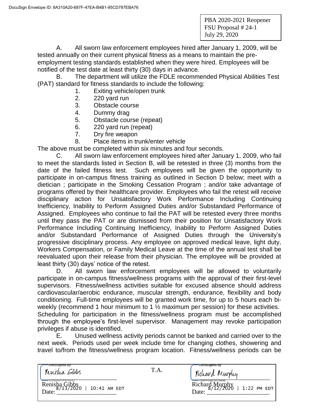A. All sworn law enforcement employees hired after January 1, 2009, will be tested annually on their current physical fitness as a means to maintain the preemployment testing standards established when they were hired. Employees will be notified of the test date at least thirty (30) days in advance.

B. The department will utilize the FDLE recommended Physical Abilities Test (PAT) standard for fitness standards to include the following:

- 1. Exiting vehicle/open trunk
- 2. 220 yard run
- 3. Obstacle course
- 4. Dummy drag
- 5. Obstacle course (repeat)
- 6. 220 yard run (repeat)
- 7. Dry fire weapon
- 8. Place items in trunk/enter vehicle

The above must be completed within six minutes and four seconds.

C. All sworn law enforcement employees hired after January 1, 2009, who fail to meet the standards listed in Section B, will be retested in three (3) months from the date of the failed fitness test. Such employees will be given the opportunity to participate in on-campus fitness training as outlined in Section D below; meet with a dietician ; participate in the Smoking Cessation Program ; and/or take advantage of programs offered by their healthcare provider. Employees who fail the retest will receive disciplinary action for Unsatisfactory Work Performance Including Continuing Inefficiency, Inability to Perform Assigned Duties and/or Substandard Performance of Assigned. Employees who continue to fail the PAT will be retested every three months until they pass the PAT or are dismissed from their position for Unsatisfactory Work Performance Including Continuing Inefficiency, Inability to Perform Assigned Duties and/or Substandard Performance of Assigned Duties through the University's progressive disciplinary process. Any employee on approved medical leave, light duty, Workers Compensation, or Family Medical Leave at the time of the annual test shall be reevaluated upon their release from their physician. The employee will be provided at least thirty (30) days' notice of the retest.

D. All sworn law enforcement employees will be allowed to voluntarily participate in on-campus fitness/wellness programs with the approval of their first-level supervisors. Fitness/wellness activities suitable for excused absence should address cardiovascular/aerobic endurance, muscular strength, endurance, flexibility and body conditioning. Full-time employees will be granted work time, for up to 5 hours each biweekly (recommend 1 hour minimum to 1  $\frac{1}{2}$  maximum per session) for these activities. Scheduling for participation in the fitness/wellness program must be accomplished through the employee's first-level supervisor. Management may revoke participation privileges if abuse is identified.

E. Unused wellness activity periods cannot be banked and carried over to the next week. Periods used per week include time for changing clothes, showering and travel to/from the fitness/wellness program location. Fitness/wellness periods can be

| DocuSigned by:<br>Renisha Gibbs                                                    | T.A. | 'DocuSigned'by:<br>Kichard Murphy                                                 |
|------------------------------------------------------------------------------------|------|-----------------------------------------------------------------------------------|
| = 92F8A6F2F0744A1<br>Renisha Gibbs<br>$\frac{8}{13}/2020$<br>10:41 AM EDT<br>Date: |      | -7A9FF54E5979406<br>Richard Murphy<br>$\frac{8}{12}/2020$<br>1:22 PM EDT<br>Date: |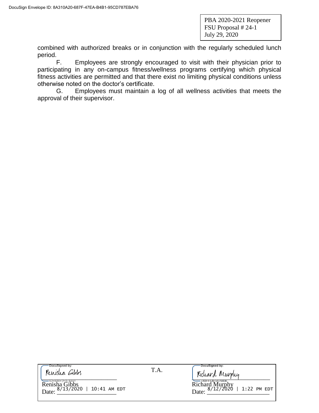combined with authorized breaks or in conjunction with the regularly scheduled lunch period.

F. Employees are strongly encouraged to visit with their physician prior to participating in any on-campus fitness/wellness programs certifying which physical fitness activities are permitted and that there exist no limiting physical conditions unless otherwise noted on the doctor's certificate.

G. Employees must maintain a log of all wellness activities that meets the approval of their supervisor.

| DocuSigned by: |  |  |
|----------------|--|--|
| Renisha Gibbs  |  |  |

Renisha Gibbs Richard Murphy Date:  $\frac{6}{1222020}$  | 10.41 AM EDI<br>Date:  $\frac{6}{1222020}$  | 1.22 PM EL

T.A.

 $\frac{1}{2}$ 

**DocuSianed by** 

Richard Murphy<br>Date:  $\frac{8/12/2020}{1.22}$  | 1:22 PM EDT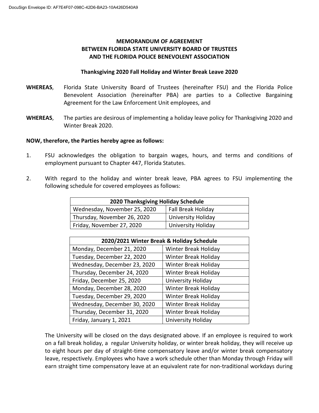### **MEMORANDUM OF AGREEMENT BETWEEN FLORIDA STATE UNIVERSITY BOARD OF TRUSTEES AND THE FLORIDA POLICE BENEVOLENT ASSOCIATION**

#### **Thanksgiving 2020 Fall Holiday and Winter Break Leave 2020**

- **WHEREAS**, Florida State University Board of Trustees (hereinafter FSU) and the Florida Police Benevolent Association (hereinafter PBA) are parties to a Collective Bargaining Agreement for the Law Enforcement Unit employees, and
- **WHEREAS**, The parties are desirous of implementing a holiday leave policy for Thanksgiving 2020 and Winter Break 2020.

#### **NOW, therefore, the Parties hereby agree as follows:**

- 1. FSU acknowledges the obligation to bargain wages, hours, and terms and conditions of employment pursuant to Chapter 447, Florida Statutes.
- 2. With regard to the holiday and winter break leave, PBA agrees to FSU implementing the following schedule for covered employees as follows:

| 2020 Thanksgiving Holiday Schedule |                           |  |
|------------------------------------|---------------------------|--|
| Wednesday, November 25, 2020       | Fall Break Holiday        |  |
| Thursday, November 26, 2020        | <b>University Holiday</b> |  |
| Friday, November 27, 2020          | University Holiday        |  |

| 2020/2021 Winter Break & Holiday Schedule |                      |  |
|-------------------------------------------|----------------------|--|
| Monday, December 21, 2020                 | Winter Break Holiday |  |
| Tuesday, December 22, 2020                | Winter Break Holiday |  |
| Wednesday, December 23, 2020              | Winter Break Holiday |  |
| Thursday, December 24, 2020               | Winter Break Holiday |  |
| Friday, December 25, 2020                 | University Holiday   |  |
| Monday, December 28, 2020                 | Winter Break Holiday |  |
| Tuesday, December 29, 2020                | Winter Break Holiday |  |
| Wednesday, December 30, 2020              | Winter Break Holiday |  |
| Thursday, December 31, 2020               | Winter Break Holiday |  |
| Friday, January 1, 2021                   | University Holiday   |  |

The University will be closed on the days designated above. If an employee is required to work on a fall break holiday, a regular University holiday, or winter break holiday, they will receive up to eight hours per day of straight-time compensatory leave and/or winter break compensatory leave, respectively. Employees who have a work schedule other than Monday through Friday will earn straight time compensatory leave at an equivalent rate for non-traditional workdays during